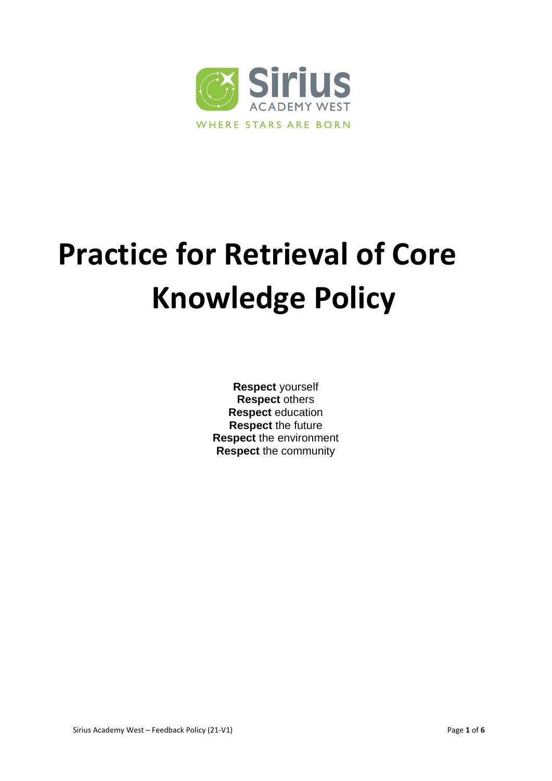

# **Practice for Retrieval of Core Knowledge Policy**

**Respect** yourself **Respect** others **Respect** education **Respect** the future **Respect** the environment **Respect** the community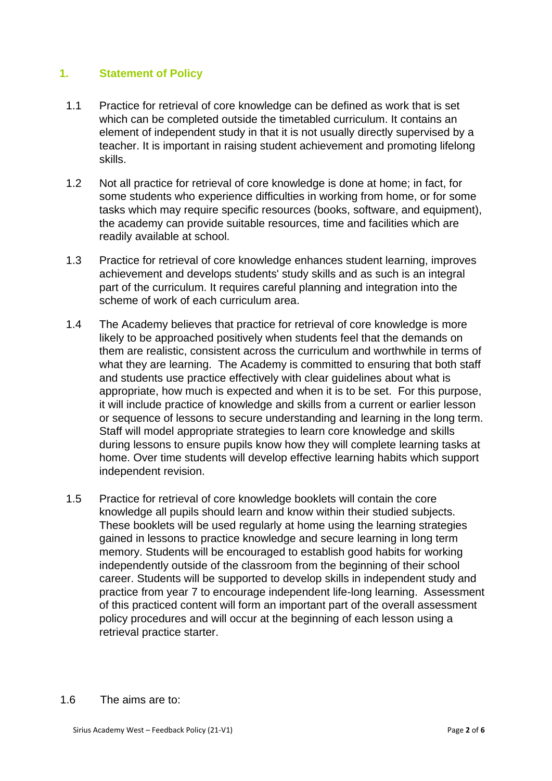## **1. Statement of Policy**

- 1.1 Practice for retrieval of core knowledge can be defined as work that is set which can be completed outside the timetabled curriculum. It contains an element of independent study in that it is not usually directly supervised by a teacher. It is important in raising student achievement and promoting lifelong skills.
- 1.2 Not all practice for retrieval of core knowledge is done at home; in fact, for some students who experience difficulties in working from home, or for some tasks which may require specific resources (books, software, and equipment), the academy can provide suitable resources, time and facilities which are readily available at school.
- 1.3 Practice for retrieval of core knowledge enhances student learning, improves achievement and develops students' study skills and as such is an integral part of the curriculum. It requires careful planning and integration into the scheme of work of each curriculum area.
- 1.4 The Academy believes that practice for retrieval of core knowledge is more likely to be approached positively when students feel that the demands on them are realistic, consistent across the curriculum and worthwhile in terms of what they are learning. The Academy is committed to ensuring that both staff and students use practice effectively with clear guidelines about what is appropriate, how much is expected and when it is to be set. For this purpose, it will include practice of knowledge and skills from a current or earlier lesson or sequence of lessons to secure understanding and learning in the long term. Staff will model appropriate strategies to learn core knowledge and skills during lessons to ensure pupils know how they will complete learning tasks at home. Over time students will develop effective learning habits which support independent revision.
- 1.5 Practice for retrieval of core knowledge booklets will contain the core knowledge all pupils should learn and know within their studied subjects. These booklets will be used regularly at home using the learning strategies gained in lessons to practice knowledge and secure learning in long term memory. Students will be encouraged to establish good habits for working independently outside of the classroom from the beginning of their school career. Students will be supported to develop skills in independent study and practice from year 7 to encourage independent life-long learning. Assessment of this practiced content will form an important part of the overall assessment policy procedures and will occur at the beginning of each lesson using a retrieval practice starter.

1.6 The aims are to: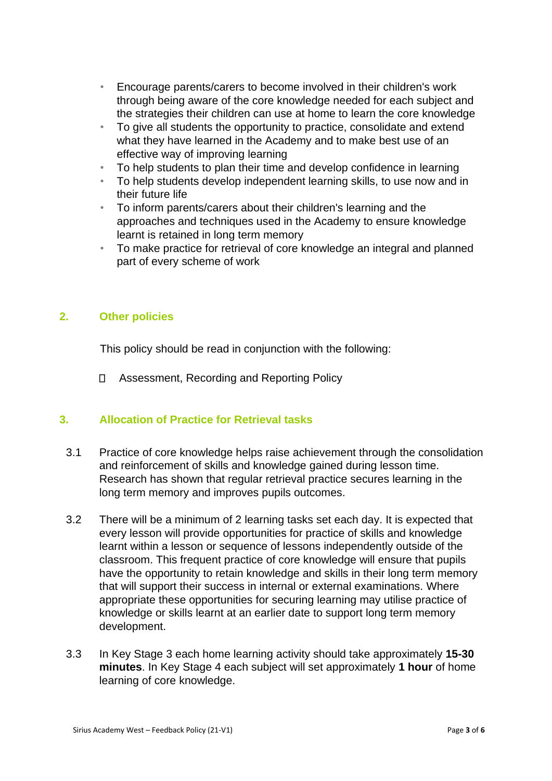- Encourage parents/carers to become involved in their children's work through being aware of the core knowledge needed for each subject and the strategies their children can use at home to learn the core knowledge
- To give all students the opportunity to practice, consolidate and extend what they have learned in the Academy and to make best use of an effective way of improving learning
- To help students to plan their time and develop confidence in learning
- To help students develop independent learning skills, to use now and in their future life
- To inform parents/carers about their children's learning and the approaches and techniques used in the Academy to ensure knowledge learnt is retained in long term memory
- To make practice for retrieval of core knowledge an integral and planned part of every scheme of work

# **2. Other policies**

This policy should be read in conjunction with the following:

Assessment, Recording and Reporting Policy

### **3. Allocation of Practice for Retrieval tasks**

- 3.1 Practice of core knowledge helps raise achievement through the consolidation and reinforcement of skills and knowledge gained during lesson time. Research has shown that regular retrieval practice secures learning in the long term memory and improves pupils outcomes.
- 3.2 There will be a minimum of 2 learning tasks set each day. It is expected that every lesson will provide opportunities for practice of skills and knowledge learnt within a lesson or sequence of lessons independently outside of the classroom. This frequent practice of core knowledge will ensure that pupils have the opportunity to retain knowledge and skills in their long term memory that will support their success in internal or external examinations. Where appropriate these opportunities for securing learning may utilise practice of knowledge or skills learnt at an earlier date to support long term memory development.
- 3.3 In Key Stage 3 each home learning activity should take approximately **15-30 minutes**. In Key Stage 4 each subject will set approximately **1 hour** of home learning of core knowledge.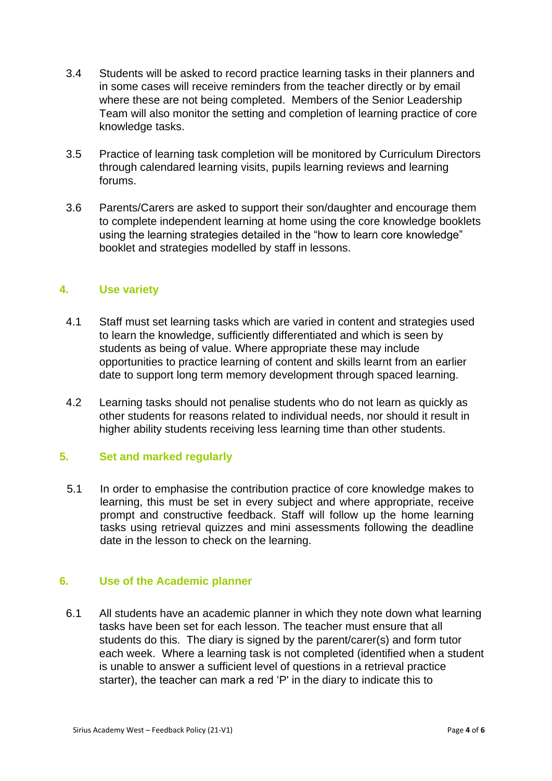- 3.4 Students will be asked to record practice learning tasks in their planners and in some cases will receive reminders from the teacher directly or by email where these are not being completed. Members of the Senior Leadership Team will also monitor the setting and completion of learning practice of core knowledge tasks.
- 3.5 Practice of learning task completion will be monitored by Curriculum Directors through calendared learning visits, pupils learning reviews and learning forums.
- 3.6 Parents/Carers are asked to support their son/daughter and encourage them to complete independent learning at home using the core knowledge booklets using the learning strategies detailed in the "how to learn core knowledge" booklet and strategies modelled by staff in lessons.

### **4. Use variety**

- 4.1 Staff must set learning tasks which are varied in content and strategies used to learn the knowledge, sufficiently differentiated and which is seen by students as being of value. Where appropriate these may include opportunities to practice learning of content and skills learnt from an earlier date to support long term memory development through spaced learning.
- 4.2 Learning tasks should not penalise students who do not learn as quickly as other students for reasons related to individual needs, nor should it result in higher ability students receiving less learning time than other students.

### **5. Set and marked regularly**

5.1 In order to emphasise the contribution practice of core knowledge makes to learning, this must be set in every subject and where appropriate, receive prompt and constructive feedback. Staff will follow up the home learning tasks using retrieval quizzes and mini assessments following the deadline date in the lesson to check on the learning.

### **6. Use of the Academic planner**

6.1 All students have an academic planner in which they note down what learning tasks have been set for each lesson. The teacher must ensure that all students do this. The diary is signed by the parent/carer(s) and form tutor each week. Where a learning task is not completed (identified when a student is unable to answer a sufficient level of questions in a retrieval practice starter), the teacher can mark a red 'P' in the diary to indicate this to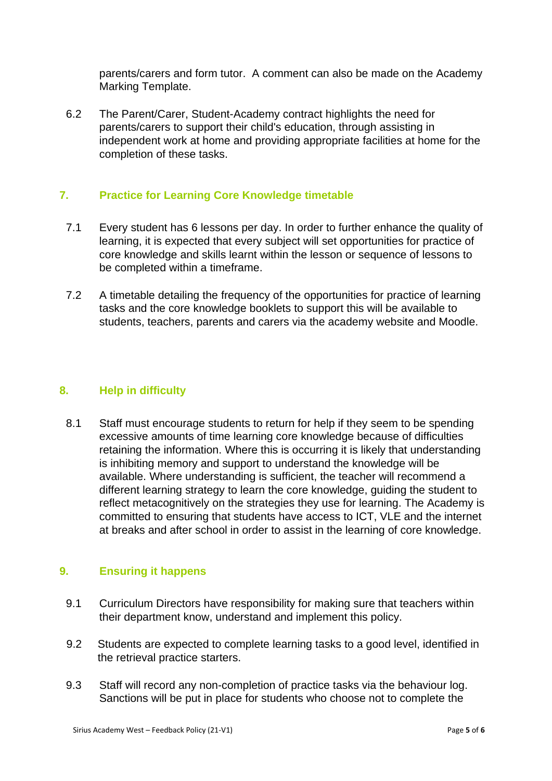parents/carers and form tutor. A comment can also be made on the Academy Marking Template.

6.2 The Parent/Carer, Student-Academy contract highlights the need for parents/carers to support their child's education, through assisting in independent work at home and providing appropriate facilities at home for the completion of these tasks.

## **7. Practice for Learning Core Knowledge timetable**

- 7.1 Every student has 6 lessons per day. In order to further enhance the quality of learning, it is expected that every subject will set opportunities for practice of core knowledge and skills learnt within the lesson or sequence of lessons to be completed within a timeframe.
- 7.2 A timetable detailing the frequency of the opportunities for practice of learning tasks and the core knowledge booklets to support this will be available to students, teachers, parents and carers via the academy website and Moodle.

### **8. Help in difficulty**

8.1 Staff must encourage students to return for help if they seem to be spending excessive amounts of time learning core knowledge because of difficulties retaining the information. Where this is occurring it is likely that understanding is inhibiting memory and support to understand the knowledge will be available. Where understanding is sufficient, the teacher will recommend a different learning strategy to learn the core knowledge, guiding the student to reflect metacognitively on the strategies they use for learning. The Academy is committed to ensuring that students have access to ICT, VLE and the internet at breaks and after school in order to assist in the learning of core knowledge.

### **9. Ensuring it happens**

- 9.1 Curriculum Directors have responsibility for making sure that teachers within their department know, understand and implement this policy.
- 9.2 Students are expected to complete learning tasks to a good level, identified in the retrieval practice starters.
- 9.3 Staff will record any non-completion of practice tasks via the behaviour log. Sanctions will be put in place for students who choose not to complete the